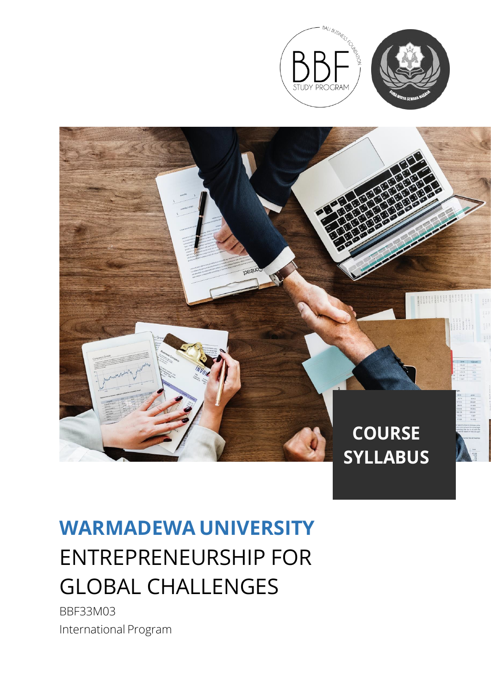



# **WARMADEWA UNIVERSITY** ENTREPRENEURSHIP FOR GLOBAL CHALLENGES

BBF33M03 International Program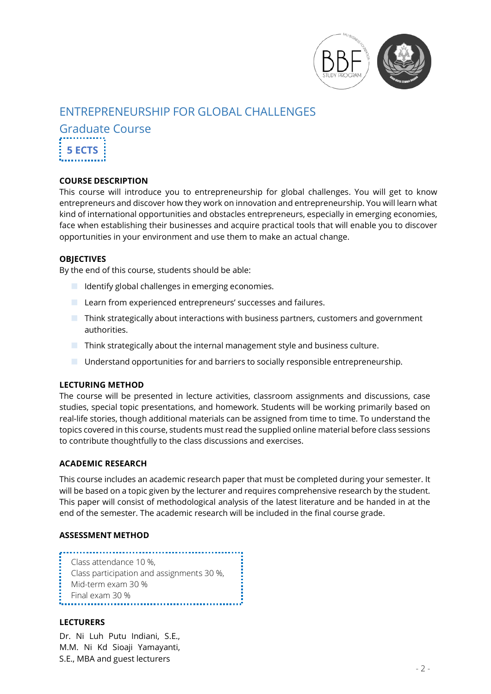

# ENTREPRENEURSHIP FOR GLOBAL CHALLENGES

Graduate Course **5 ECTS**

# **COURSE DESCRIPTION**

This course will introduce you to entrepreneurship for global challenges. You will get to know entrepreneurs and discover how they work on innovation and entrepreneurship. You will learn what kind of international opportunities and obstacles entrepreneurs, especially in emerging economies, face when establishing their businesses and acquire practical tools that will enable you to discover opportunities in your environment and use them to make an actual change.

# **OBJECTIVES**

By the end of this course, students should be able:

- $\blacksquare$  Identify global challenges in emerging economies.
- **Learn from experienced entrepreneurs' successes and failures.**
- Think strategically about interactions with business partners, customers and government authorities.
- $\blacksquare$  Think strategically about the internal management style and business culture.
- Understand opportunities for and barriers to socially responsible entrepreneurship.

#### **LECTURING METHOD**

The course will be presented in lecture activities, classroom assignments and discussions, case studies, special topic presentations, and homework. Students will be working primarily based on real-life stories, though additional materials can be assigned from time to time. To understand the topics covered in this course, students must read the supplied online material before class sessions to contribute thoughtfully to the class discussions and exercises.

#### **ACADEMIC RESEARCH**

This course includes an academic research paper that must be completed during your semester. It will be based on a topic given by the lecturer and requires comprehensive research by the student. This paper will consist of methodological analysis of the latest literature and be handed in at the end of the semester. The academic research will be included in the final course grade.

#### **ASSESSMENT METHOD**

Class attendance 10 %, Class participation and assignments 30 %, Mid-term exam 30 % Final exam 30 %

#### **LECTURERS**

Dr. Ni Luh Putu Indiani, S.E., M.M. Ni Kd Sioaji Yamayanti, S.E., MBA and guest lecturers